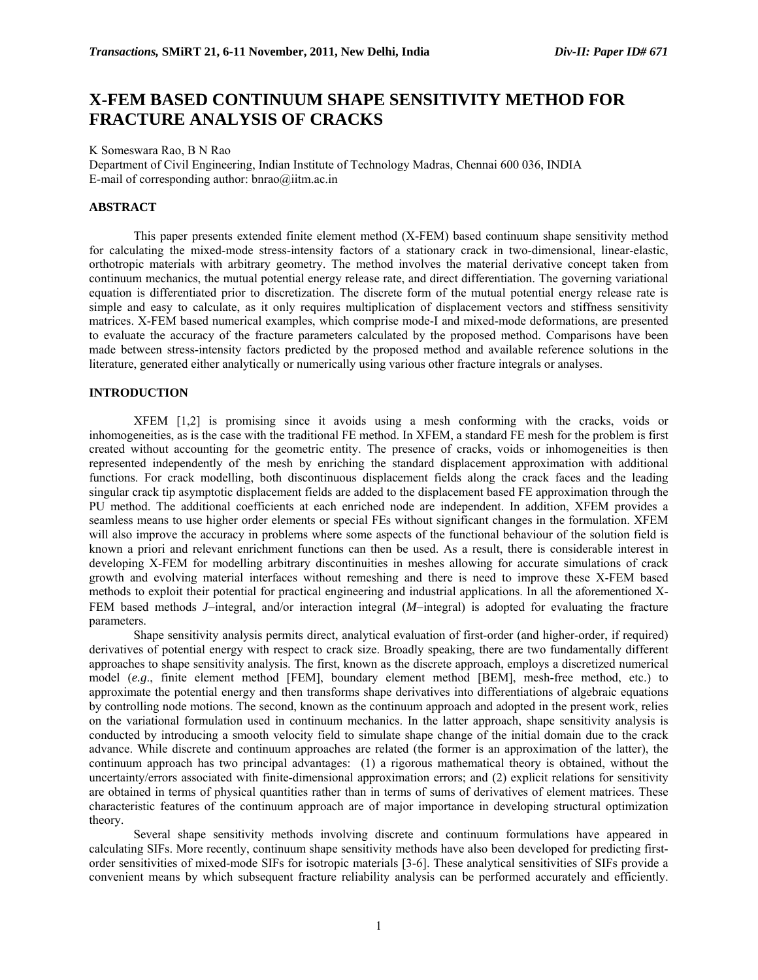# **X-FEM BASED CONTINUUM SHAPE SENSITIVITY METHOD FOR FRACTURE ANALYSIS OF CRACKS**

K Someswara Rao, B N Rao

Department of Civil Engineering, Indian Institute of Technology Madras, Chennai 600 036, INDIA E-mail of corresponding author: bnrao@iitm.ac.in

# **ABSTRACT**

This paper presents extended finite element method (X-FEM) based continuum shape sensitivity method for calculating the mixed-mode stress-intensity factors of a stationary crack in two-dimensional, linear-elastic, orthotropic materials with arbitrary geometry. The method involves the material derivative concept taken from continuum mechanics, the mutual potential energy release rate, and direct differentiation. The governing variational equation is differentiated prior to discretization. The discrete form of the mutual potential energy release rate is simple and easy to calculate, as it only requires multiplication of displacement vectors and stiffness sensitivity matrices. X-FEM based numerical examples, which comprise mode-I and mixed-mode deformations, are presented to evaluate the accuracy of the fracture parameters calculated by the proposed method. Comparisons have been made between stress-intensity factors predicted by the proposed method and available reference solutions in the literature, generated either analytically or numerically using various other fracture integrals or analyses.

### **INTRODUCTION**

 XFEM [1,2] is promising since it avoids using a mesh conforming with the cracks, voids or inhomogeneities, as is the case with the traditional FE method. In XFEM, a standard FE mesh for the problem is first created without accounting for the geometric entity. The presence of cracks, voids or inhomogeneities is then represented independently of the mesh by enriching the standard displacement approximation with additional functions. For crack modelling, both discontinuous displacement fields along the crack faces and the leading singular crack tip asymptotic displacement fields are added to the displacement based FE approximation through the PU method. The additional coefficients at each enriched node are independent. In addition, XFEM provides a seamless means to use higher order elements or special FEs without significant changes in the formulation. XFEM will also improve the accuracy in problems where some aspects of the functional behaviour of the solution field is known a priori and relevant enrichment functions can then be used. As a result, there is considerable interest in developing X-FEM for modelling arbitrary discontinuities in meshes allowing for accurate simulations of crack growth and evolving material interfaces without remeshing and there is need to improve these X-FEM based methods to exploit their potential for practical engineering and industrial applications. In all the aforementioned X-FEM based methods *J*−integral, and/or interaction integral (*M*−integral) is adopted for evaluating the fracture parameters.

 Shape sensitivity analysis permits direct, analytical evaluation of first-order (and higher-order, if required) derivatives of potential energy with respect to crack size. Broadly speaking, there are two fundamentally different approaches to shape sensitivity analysis. The first, known as the discrete approach, employs a discretized numerical model (*e.g*., finite element method [FEM], boundary element method [BEM], mesh-free method, etc.) to approximate the potential energy and then transforms shape derivatives into differentiations of algebraic equations by controlling node motions. The second, known as the continuum approach and adopted in the present work, relies on the variational formulation used in continuum mechanics. In the latter approach, shape sensitivity analysis is conducted by introducing a smooth velocity field to simulate shape change of the initial domain due to the crack advance. While discrete and continuum approaches are related (the former is an approximation of the latter), the continuum approach has two principal advantages: (1) a rigorous mathematical theory is obtained, without the uncertainty/errors associated with finite-dimensional approximation errors; and (2) explicit relations for sensitivity are obtained in terms of physical quantities rather than in terms of sums of derivatives of element matrices. These characteristic features of the continuum approach are of major importance in developing structural optimization theory.

Several shape sensitivity methods involving discrete and continuum formulations have appeared in calculating SIFs. More recently, continuum shape sensitivity methods have also been developed for predicting firstorder sensitivities of mixed-mode SIFs for isotropic materials [3-6]. These analytical sensitivities of SIFs provide a convenient means by which subsequent fracture reliability analysis can be performed accurately and efficiently.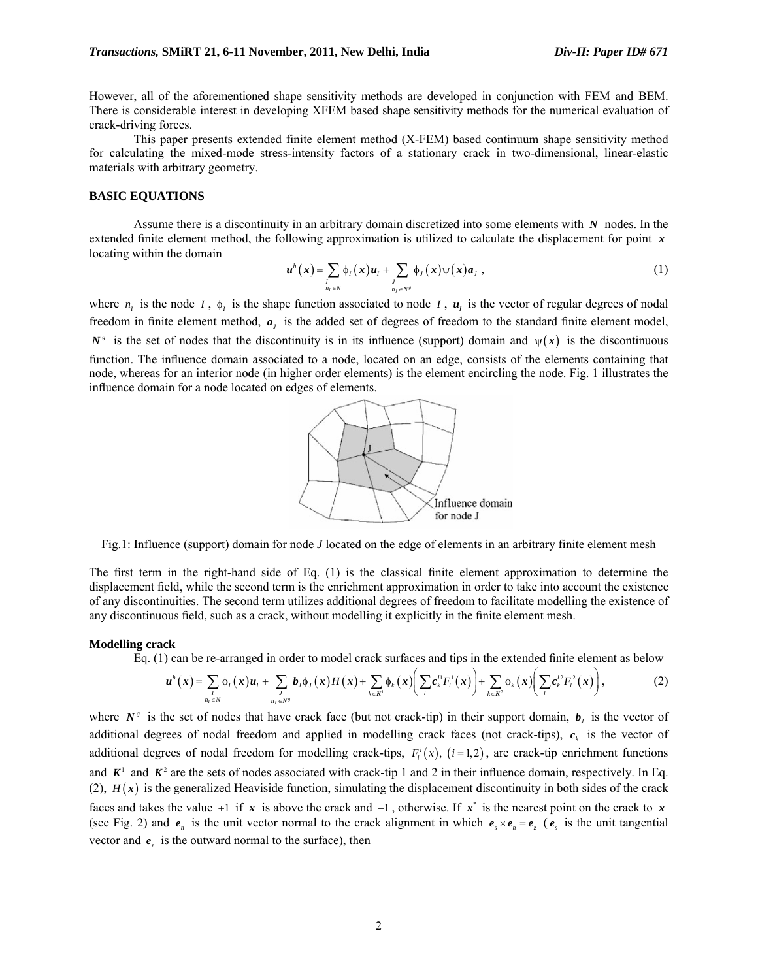However, all of the aforementioned shape sensitivity methods are developed in conjunction with FEM and BEM. There is considerable interest in developing XFEM based shape sensitivity methods for the numerical evaluation of crack-driving forces.

This paper presents extended finite element method (X-FEM) based continuum shape sensitivity method for calculating the mixed-mode stress-intensity factors of a stationary crack in two-dimensional, linear-elastic materials with arbitrary geometry.

## **BASIC EQUATIONS**

Assume there is a discontinuity in an arbitrary domain discretized into some elements with *N* nodes. In the extended finite element method, the following approximation is utilized to calculate the displacement for point *x* locating within the domain

$$
\boldsymbol{u}^{h}(\boldsymbol{x}) = \sum_{\substack{I \\ n_{I} \in N}} \phi_{I}(\boldsymbol{x}) \boldsymbol{u}_{I} + \sum_{\substack{J \\ n_{J} \in N^{g}}} \phi_{J}(\boldsymbol{x}) \psi(\boldsymbol{x}) \boldsymbol{a}_{J}, \qquad (1)
$$

where  $n_i$  is the node *I*,  $\phi_i$  is the shape function associated to node *I*,  $u_i$  is the vector of regular degrees of nodal freedom in finite element method,  $a_j$  is the added set of degrees of freedom to the standard finite element model,  $N^s$  is the set of nodes that the discontinuity is in its influence (support) domain and  $\psi(x)$  is the discontinuous function. The influence domain associated to a node, located on an edge, consists of the elements containing that node, whereas for an interior node (in higher order elements) is the element encircling the node. Fig. 1 illustrates the influence domain for a node located on edges of elements.



Fig.1: Influence (support) domain for node *J* located on the edge of elements in an arbitrary finite element mesh

The first term in the right-hand side of Eq. (1) is the classical finite element approximation to determine the displacement field, while the second term is the enrichment approximation in order to take into account the existence of any discontinuities. The second term utilizes additional degrees of freedom to facilitate modelling the existence of any discontinuous field, such as a crack, without modelling it explicitly in the finite element mesh.

#### **Modelling crack**

Eq. (1) can be re-arranged in order to model crack surfaces and tips in the extended finite element as below

$$
\boldsymbol{u}^h(\boldsymbol{x}) = \sum_{\substack{l \\ n_l \in \mathbb{N}}} \phi_l(\boldsymbol{x}) \boldsymbol{u}_l + \sum_{\substack{l \\ n_l \in \mathbb{N}^s}} \boldsymbol{b}_j \phi_l(\boldsymbol{x}) H(\boldsymbol{x}) + \sum_{k \in \mathbf{K}^1} \phi_k(\boldsymbol{x}) \bigg( \sum_{l} \boldsymbol{c}_k^{l_1} F_l^1(\boldsymbol{x}) \bigg) + \sum_{k \in \mathbf{K}^2} \phi_k(\boldsymbol{x}) \bigg( \sum_{l} \boldsymbol{c}_k^{l_2} F_l^2(\boldsymbol{x}) \bigg), \tag{2}
$$

where  $N^s$  is the set of nodes that have crack face (but not crack-tip) in their support domain,  $b_j$  is the vector of additional degrees of nodal freedom and applied in modelling crack faces (not crack-tips),  $c_k$  is the vector of additional degrees of nodal freedom for modelling crack-tips,  $F_i(x)$ ,  $(i=1,2)$ , are crack-tip enrichment functions and  $K^1$  and  $K^2$  are the sets of nodes associated with crack-tip 1 and 2 in their influence domain, respectively. In Eq. (2),  $H(x)$  is the generalized Heaviside function, simulating the displacement discontinuity in both sides of the crack faces and takes the value +1 if  $x$  is above the crack and  $-1$ , otherwise. If  $x^*$  is the nearest point on the crack to  $x$ (see Fig. 2) and  $e_n$  is the unit vector normal to the crack alignment in which  $e_s \times e_n = e_s$  ( $e_s$  is the unit tangential vector and  $e_z$  is the outward normal to the surface), then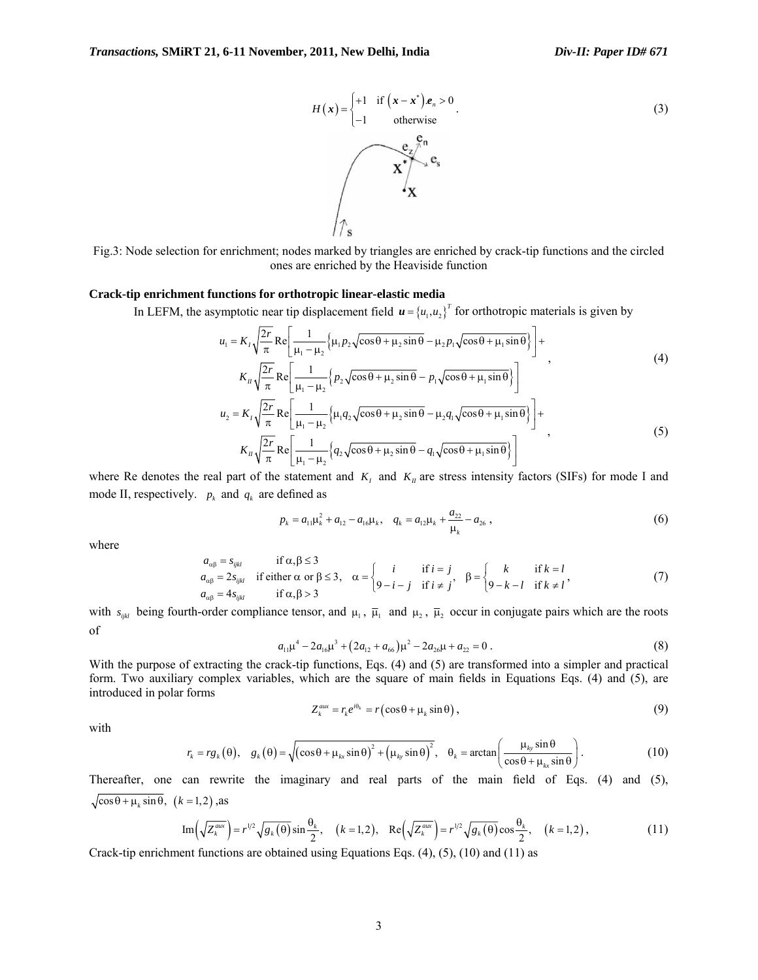$$
H(x) = \begin{cases} +1 & \text{if } (x-x^*)e_n > 0 \\ -1 & \text{otherwise} \end{cases}
$$
(3)  

$$
x^* = \begin{cases} e_x e_n \\ e_x e_n \\ e_x \end{cases}
$$

Fig.3: Node selection for enrichment; nodes marked by triangles are enriched by crack-tip functions and the circled ones are enriched by the Heaviside function

## **Crack-tip enrichment functions for orthotropic linear-elastic media**

In LEFM, the asymptotic near tip displacement field  ${\bf u} = \{u_1, u_2\}^T$  for orthotropic materials is given by

$$
u_{1} = K_{1}\sqrt{\frac{2r}{\pi}} \text{Re}\left[\frac{1}{\mu_{1}-\mu_{2}}\left\{\mu_{1}p_{2}\sqrt{\cos\theta+\mu_{2}\sin\theta}-\mu_{2}p_{1}\sqrt{\cos\theta+\mu_{1}\sin\theta}\right\}\right] +
$$
\n
$$
K_{1}\sqrt{\frac{2r}{\pi}} \text{Re}\left[\frac{1}{\mu_{1}-\mu_{2}}\left\{p_{2}\sqrt{\cos\theta+\mu_{2}\sin\theta}-p_{1}\sqrt{\cos\theta+\mu_{1}\sin\theta}\right\}\right]
$$
\n
$$
u_{2} = K_{1}\sqrt{\frac{2r}{\pi}} \text{Re}\left[\frac{1}{\mu_{1}-\mu_{2}}\left\{\mu_{1}q_{2}\sqrt{\cos\theta+\mu_{2}\sin\theta}-\mu_{2}q_{1}\sqrt{\cos\theta+\mu_{1}\sin\theta}\right\}\right] +
$$
\n
$$
K_{1}\sqrt{\frac{2r}{\pi}} \text{Re}\left[\frac{1}{\mu_{1}-\mu_{2}}\left\{q_{2}\sqrt{\cos\theta+\mu_{2}\sin\theta}-q_{1}\sqrt{\cos\theta+\mu_{1}\sin\theta}\right\}\right]
$$
\n(5)

where Re denotes the real part of the statement and  $K_I$  and  $K_I$  are stress intensity factors (SIFs) for mode I and mode II, respectively.  $p_k$  and  $q_k$  are defined as

$$
p_k = a_{11}\mu_k^2 + a_{12} - a_{16}\mu_k, \quad q_k = a_{12}\mu_k + \frac{a_{22}}{\mu_k} - a_{26}, \tag{6}
$$

where

$$
a_{\alpha\beta} = s_{ijkl} \quad \text{if } \alpha, \beta \le 3
$$
\n
$$
a_{\alpha\beta} = 2s_{ijkl} \quad \text{if either } \alpha \text{ or } \beta \le 3, \quad \alpha = \begin{cases} i & \text{if } i = j \\ 9 - i - j & \text{if } i \ne j \end{cases}, \quad \beta = \begin{cases} k & \text{if } k = l \\ 9 - k - l & \text{if } k \ne l \end{cases} \tag{7}
$$

with  $s_{ijkl}$  being fourth-order compliance tensor, and  $\mu_1$ ,  $\bar{\mu}_1$  and  $\mu_2$ ,  $\bar{\mu}_2$  occur in conjugate pairs which are the roots of

$$
a_{11}\mu^4 - 2a_{16}\mu^3 + (2a_{12} + a_{66})\mu^2 - 2a_{26}\mu + a_{22} = 0.
$$
 (8)

With the purpose of extracting the crack-tip functions, Eqs. (4) and (5) are transformed into a simpler and practical form. Two auxiliary complex variables, which are the square of main fields in Equations Eqs. (4) and (5), are introduced in polar forms

$$
Z_k^{aux} = r_k e^{i\theta_k} = r(\cos\theta + \mu_k \sin\theta), \qquad (9)
$$

with

$$
r_{k} = rg_{k}(\theta), \quad g_{k}(\theta) = \sqrt{(\cos\theta + \mu_{kx}\sin\theta)^{2} + (\mu_{ky}\sin\theta)^{2}}, \quad \theta_{k} = \arctan\left(\frac{\mu_{ky}\sin\theta}{\cos\theta + \mu_{kx}\sin\theta}\right).
$$
 (10)

Thereafter, one can rewrite the imaginary and real parts of the main field of Eqs. (4) and (5),  $\sqrt{\cos \theta + \mu_k \sin \theta}$ ,  $(k = 1,2)$ , as

Im
$$
\left(\sqrt{Z_k^{aux}}\right) = r^{1/2} \sqrt{g_k(\theta)} \sin \frac{\theta_k}{2}, \quad (k = 1, 2), \quad \text{Re}\left(\sqrt{Z_k^{aux}}\right) = r^{1/2} \sqrt{g_k(\theta)} \cos \frac{\theta_k}{2}, \quad (k = 1, 2), \tag{11}
$$

Crack-tip enrichment functions are obtained using Equations Eqs. (4), (5), (10) and (11) as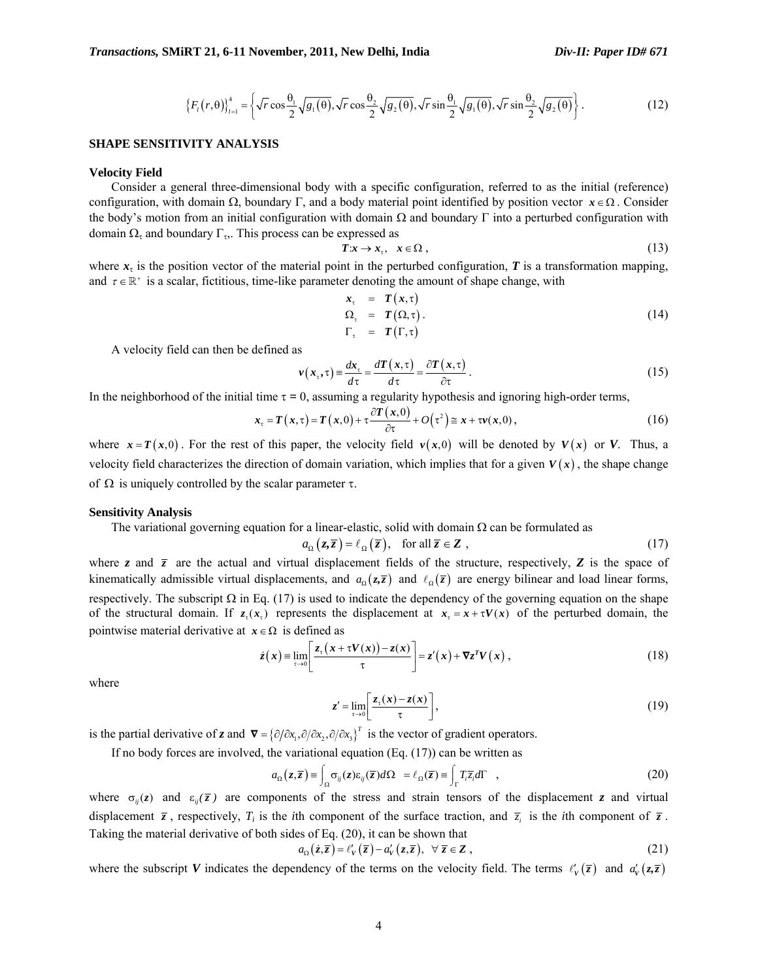$$
\left\{F_{i}(r,\theta)\right\}_{i=1}^{4} = \left\{\sqrt{r}\cos\frac{\theta_{1}}{2}\sqrt{g_{1}(\theta)}, \sqrt{r}\cos\frac{\theta_{2}}{2}\sqrt{g_{2}(\theta)}, \sqrt{r}\sin\frac{\theta_{1}}{2}\sqrt{g_{1}(\theta)}, \sqrt{r}\sin\frac{\theta_{2}}{2}\sqrt{g_{2}(\theta)}\right\}.
$$
 (12)

## **SHAPE SENSITIVITY ANALYSIS**

#### **Velocity Field**

 Consider a general three-dimensional body with a specific configuration, referred to as the initial (reference) configuration, with domain Ω, boundary Γ, and a body material point identified by position vector  $x \in \Omega$ . Consider the body's motion from an initial configuration with domain  $\Omega$  and boundary Γ into a perturbed configuration with domain  $\Omega$ <sub>τ</sub> and boundary Γ<sub>τ</sub>,. This process can be expressed as

$$
Tx \to x_{\tau}, \quad x \in \Omega \;, \tag{13}
$$

where  $x<sub>\tau</sub>$  is the position vector of the material point in the perturbed configuration, *T* is a transformation mapping, and  $\tau \in \mathbb{R}^+$  is a scalar, fictitious, time-like parameter denoting the amount of shape change, with

$$
x_{\tau} = T(x, \tau) \n\Omega_{\tau} = T(\Omega, \tau) . \n\Gamma_{\tau} = T(\Gamma, \tau)
$$
\n(14)

A velocity field can then be defined as

$$
v(x_{\tau}, \tau) = \frac{dx_{\tau}}{d\tau} = \frac{dT(x, \tau)}{d\tau} = \frac{\partial T(x, \tau)}{\partial \tau}.
$$
 (15)

In the neighborhood of the initial time  $\tau = 0$ , assuming a regularity hypothesis and ignoring high-order terms,

$$
x_{\tau} = T(x,\tau) = T(x,0) + \tau \frac{\partial T(x,0)}{\partial \tau} + O(\tau^2) \approx x + \tau v(x,0),
$$
\n(16)

where  $x = T(x,0)$ . For the rest of this paper, the velocity field  $v(x,0)$  will be denoted by  $V(x)$  or *V*. Thus, a velocity field characterizes the direction of domain variation, which implies that for a given  $V(x)$ , the shape change of  $Ω$  is uniquely controlled by the scalar parameter τ.

#### **Sensitivity Analysis**

The variational governing equation for a linear-elastic, solid with domain  $\Omega$  can be formulated as

$$
a_{\Omega}(z,\overline{z}) = \ell_{\Omega}(\overline{z}), \quad \text{for all } \overline{z} \in \mathbf{Z}, \tag{17}
$$

where *z* and  $\bar{z}$  are the actual and virtual displacement fields of the structure, respectively, **Z** is the space of kinematically admissible virtual displacements, and  $a_0(z,\overline{z})$  and  $\ell_0(\overline{z})$  are energy bilinear and load linear forms, respectively. The subscript  $\Omega$  in Eq. (17) is used to indicate the dependency of the governing equation on the shape of the structural domain. If  $z(x)$  represents the displacement at  $x = x + \tau V(x)$  of the perturbed domain, the pointwise material derivative at  $x \in \Omega$  is defined as

$$
\dot{z}(x) = \lim_{\tau \to 0} \left[ \frac{z_{\tau}(x + \tau V(x)) - z(x)}{\tau} \right] = z'(x) + \nabla z^{T} V(x), \qquad (18)
$$

where

$$
z' = \lim_{\tau \to 0} \left[ \frac{z_{\tau}(x) - z(x)}{\tau} \right],\tag{19}
$$

is the partial derivative of *z* and  $\boldsymbol{\nabla} = {\partial/\partial x_1, \partial/\partial x_2, \partial/\partial x_3}^T$  is the vector of gradient operators.

If no body forces are involved, the variational equation (Eq. (17)) can be written as

$$
a_{\Omega}(z,\overline{z}) = \int_{\Omega} \sigma_{ij}(z) \varepsilon_{ij}(\overline{z}) d\Omega = \ell_{\Omega}(\overline{z}) = \int_{\Gamma} T_i \overline{z}_i d\Gamma , \qquad (20)
$$

where  $\sigma_{ii}(z)$  and  $\varepsilon_{ii}(\overline{z})$  are components of the stress and strain tensors of the displacement *z* and virtual displacement  $\overline{z}$ , respectively,  $T_i$  is the *i*th component of the surface traction, and  $\overline{z}_i$  is the *i*th component of  $\overline{z}$ . Taking the material derivative of both sides of Eq. (20), it can be shown that

$$
a_{\Omega}(\dot{z},\overline{z}) = \ell'_{V}(\overline{z}) - a'_{V}(z,\overline{z}), \ \ \forall \ \overline{z} \in \mathbb{Z}, \tag{21}
$$

where the subscript *V* indicates the dependency of the terms on the velocity field. The terms  $\ell'_v(\bar{z})$  and  $a'_v(z,\bar{z})$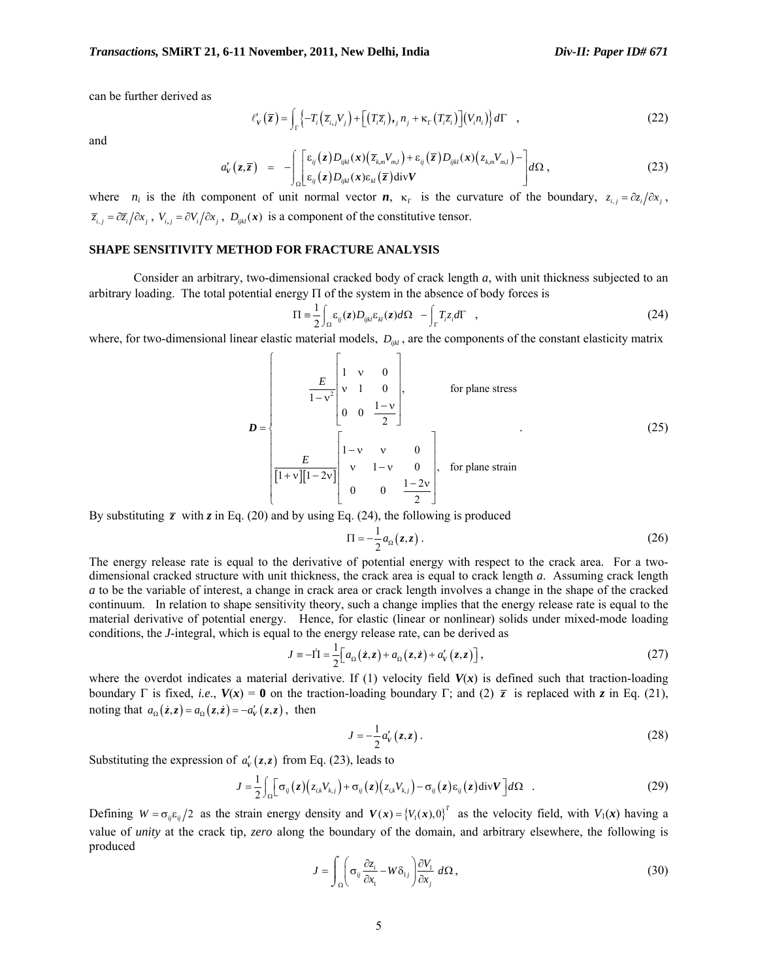can be further derived as

$$
\ell'_{\mathbf{v}}(\overline{z}) = \int_{\Gamma} \left\{ -T_i \left( \overline{z}_{i,j} V_j \right) + \left[ \left( T_i \overline{z}_i \right),_{j} n_j + \kappa_{\Gamma} \left( T_i \overline{z}_i \right) \right] \left( V_i n_i \right) \right\} d\Gamma \quad , \tag{22}
$$

and

$$
a'_{V}(z,\overline{z}) = -\int_{\Omega} \left[ \epsilon_{ij}(z) D_{ijkl}(x) (\overline{z}_{k,m} V_{m,l}) + \epsilon_{ij}(\overline{z}) D_{ijkl}(x) (\overline{z}_{k,m} V_{m,l}) - \right] d\Omega, \qquad (23)
$$

where *n<sub>i</sub>* is the *i*th component of unit normal vector *n*,  $\kappa_r$  is the curvature of the boundary,  $z_{i,j} = \partial z_i / \partial x_j$ ,  $\overline{z}_{i,j} = \partial \overline{z}_i / \partial x_j$ ,  $V_{i,j} = \partial V_i / \partial x_j$ ,  $D_{ijkl}(x)$  is a component of the constitutive tensor.

## **SHAPE SENSITIVITY METHOD FOR FRACTURE ANALYSIS**

 Consider an arbitrary, two-dimensional cracked body of crack length *a*, with unit thickness subjected to an arbitrary loading. The total potential energy  $\Pi$  of the system in the absence of body forces is

$$
\Pi = \frac{1}{2} \int_{\Omega} \varepsilon_{ij}(z) D_{ijkl} \varepsilon_{kl}(z) d\Omega - \int_{\Gamma} T_i z_i d\Gamma \quad , \tag{24}
$$

where, for two-dimensional linear elastic material models,  $D_{ijkl}$ , are the components of the constant elasticity matrix

$$
D = \begin{bmatrix} E & 1 & v & 0 \\ v & 1 & 0 & 0 \\ 0 & 0 & \frac{1-v}{2} & 0 \end{bmatrix}, \text{ for plane stress}
$$
  
\n
$$
D = \begin{bmatrix} 1-v & v & 0 \\ v & 1-v & 0 \\ \frac{E}{[1+v][1-2v]} & v & 1-v & 0 \\ 0 & 0 & \frac{1-2v}{2} \end{bmatrix}, \text{ for plane strain}
$$
 (25)

By substituting  $\bar{z}$  with  $z$  in Eq. (20) and by using Eq. (24), the following is produced

$$
\Pi = -\frac{1}{2}a_{\Omega}(z, z) \tag{26}
$$

The energy release rate is equal to the derivative of potential energy with respect to the crack area. For a twodimensional cracked structure with unit thickness, the crack area is equal to crack length *a*. Assuming crack length *a* to be the variable of interest, a change in crack area or crack length involves a change in the shape of the cracked continuum. In relation to shape sensitivity theory, such a change implies that the energy release rate is equal to the material derivative of potential energy. Hence, for elastic (linear or nonlinear) solids under mixed-mode loading conditions, the *J*-integral, which is equal to the energy release rate, can be derived as

$$
J \equiv -\dot{\Pi} = \frac{1}{2} \Big[ a_{\Omega} \left( \dot{z}, z \right) + a_{\Omega} \left( z, \dot{z} \right) + a'_{V} \left( z, z \right) \Big], \tag{27}
$$

where the overdot indicates a material derivative. If (1) velocity field  $V(x)$  is defined such that traction-loading boundary Γ is fixed, *i.e.*,  $V(x) = 0$  on the traction-loading boundary Γ; and (2)  $\bar{z}$  is replaced with *z* in Eq. (21), noting that  $a_{\Omega}(\dot{z}, z) = a_{\Omega}(z, \dot{z}) = -a'_{V}(z, z)$ , then

$$
J = -\frac{1}{2}a'_{V}(z, z).
$$
 (28)

Substituting the expression of  $a'_{\nu}(z, z)$  from Eq. (23), leads to

$$
J = \frac{1}{2} \int_{\Omega} \left[ \sigma_{ij} (z) \left( z_{i,k} V_{k,j} \right) + \sigma_{ij} (z) \left( z_{i,k} V_{k,j} \right) - \sigma_{ij} (z) \varepsilon_{ij} (z) \operatorname{div} V \right] d\Omega \quad . \tag{29}
$$

Defining  $W = \sigma_{ij} \epsilon_{ij}/2$  as the strain energy density and  $V(x) = (V_1(x), 0)^T$  as the velocity field, with  $V_1(x)$  having a value of *unity* at the crack tip, *zero* along the boundary of the domain, and arbitrary elsewhere, the following is produced

$$
J = \int_{\Omega} \left( \sigma_{ij} \frac{\partial z_i}{\partial x_1} - W \delta_{1j} \right) \frac{\partial V_1}{\partial x_j} d\Omega, \tag{30}
$$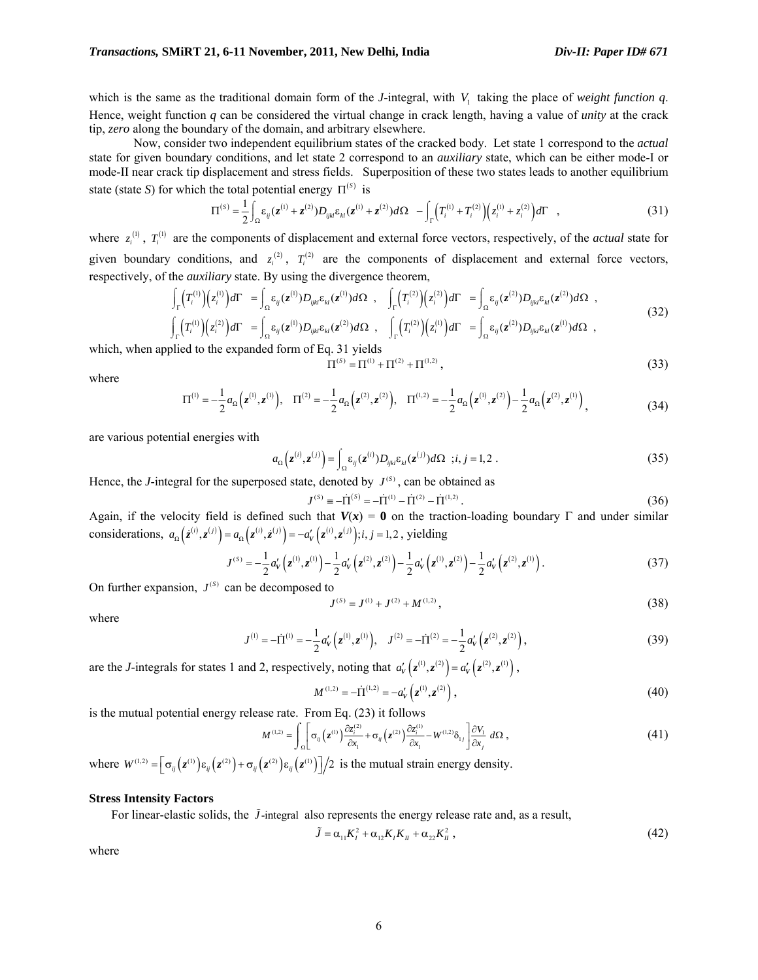which is the same as the traditional domain form of the *J*-integral, with *V*, taking the place of *weight function*  $q$ . Hence, weight function *q* can be considered the virtual change in crack length, having a value of *unity* at the crack tip, *zero* along the boundary of the domain, and arbitrary elsewhere.

 Now, consider two independent equilibrium states of the cracked body. Let state 1 correspond to the *actual* state for given boundary conditions, and let state 2 correspond to an *auxiliary* state, which can be either mode-I or mode-II near crack tip displacement and stress fields. Superposition of these two states leads to another equilibrium state (state *S*) for which the total potential energy  $\Pi^{(s)}$  is

$$
\Pi^{(s)} = \frac{1}{2} \int_{\Omega} \varepsilon_{ij} (z^{(1)} + z^{(2)}) D_{ijkl} \varepsilon_{kl} (z^{(1)} + z^{(2)}) d\Omega - \int_{\Gamma} \left( T_i^{(1)} + T_i^{(2)} \right) \left( z_i^{(1)} + z_i^{(2)} \right) d\Gamma , \qquad (31)
$$

where  $z_i^{(1)}$ ,  $T_i^{(1)}$  are the components of displacement and external force vectors, respectively, of the *actual* state for given boundary conditions, and  $z_i^{(2)}$ ,  $T_i^{(2)}$  are the components of displacement and external force vectors, respectively, of the *auxiliary* state. By using the divergence theorem,

$$
\int_{\Gamma} \left(T_i^{(1)}\right) \left(z_i^{(1)}\right) d\Gamma = \int_{\Omega} \varepsilon_{ij} (z^{(1)}) D_{ijkl} \varepsilon_{kl} (z^{(1)}) d\Omega , \quad \int_{\Gamma} \left(T_i^{(2)}\right) \left(z_i^{(2)}\right) d\Gamma = \int_{\Omega} \varepsilon_{ij} (z^{(2)}) D_{ijkl} \varepsilon_{kl} (z^{(2)}) d\Omega ,
$$
\n
$$
\int_{\Gamma} \left(T_i^{(1)}\right) \left(z_i^{(2)}\right) d\Gamma = \int_{\Omega} \varepsilon_{ij} (z^{(1)}) D_{ijkl} \varepsilon_{kl} (z^{(2)}) d\Omega , \quad \int_{\Gamma} \left(T_i^{(2)}\right) \left(z_i^{(1)}\right) d\Gamma = \int_{\Omega} \varepsilon_{ij} (z^{(2)}) D_{ijkl} \varepsilon_{kl} (z^{(1)}) d\Omega ,
$$
\n(32)

which, when applied to the expanded form of Eq. 31 yields

$$
\Pi^{(S)} = \Pi^{(1)} + \Pi^{(2)} + \Pi^{(1,2)},\tag{33}
$$

where

$$
\Pi^{(1)} = -\frac{1}{2}a_{\Omega}\left(z^{(1)}, z^{(1)}\right), \quad \Pi^{(2)} = -\frac{1}{2}a_{\Omega}\left(z^{(2)}, z^{(2)}\right), \quad \Pi^{(1,2)} = -\frac{1}{2}a_{\Omega}\left(z^{(1)}, z^{(2)}\right) - \frac{1}{2}a_{\Omega}\left(z^{(2)}, z^{(1)}\right),\tag{34}
$$

are various potential energies with

$$
a_{\Omega}\left(\mathbf{z}^{(i)},\mathbf{z}^{(j)}\right) = \int_{\Omega} \varepsilon_{ij}(\mathbf{z}^{(i)}) D_{ijkl} \varepsilon_{kl}(\mathbf{z}^{(j)}) d\Omega \quad ; i, j = 1, 2 \ . \tag{35}
$$

Hence, the *J*-integral for the superposed state, denoted by  $J^{(s)}$ , can be obtained as

$$
J^{(s)} = -\dot{\Pi}^{(s)} = -\dot{\Pi}^{(1)} - \dot{\Pi}^{(2)} - \dot{\Pi}^{(1,2)}.
$$
\n(36)

Again, if the velocity field is defined such that  $V(x) = 0$  on the traction-loading boundary Γ and under similar considerations,  $a_{\Omega}(\dot{z}^{(i)}, z^{(j)}) = a_{\Omega}(\dot{z}^{(i)}, \dot{z}^{(j)}) = -a'_{V}(\dot{z}^{(i)}, z^{(j)})$ ; *i*, *j* = 1, 2, yielding

$$
J^{(s)} = -\frac{1}{2} a'_V \left( z^{(1)}, z^{(1)} \right) - \frac{1}{2} a'_V \left( z^{(2)}, z^{(2)} \right) - \frac{1}{2} a'_V \left( z^{(1)}, z^{(2)} \right) - \frac{1}{2} a'_V \left( z^{(2)}, z^{(1)} \right). \tag{37}
$$

On further expansion,  $J^{(s)}$  can be decomposed to

$$
J^{(S)} = J^{(1)} + J^{(2)} + M^{(1,2)},
$$
\n(38)

where

$$
J^{(1)} = -\dot{\Pi}^{(1)} = -\frac{1}{2}a'_{V}\left(z^{(1)}, z^{(1)}\right), \quad J^{(2)} = -\dot{\Pi}^{(2)} = -\frac{1}{2}a'_{V}\left(z^{(2)}, z^{(2)}\right),\tag{39}
$$

are the *J*-integrals for states 1 and 2, respectively, noting that  $a'_v(z^{(i)}, z^{(2)}) = a'_v(z^{(2)}, z^{(i)})$ ,

$$
M^{(1,2)} = -\dot{\Pi}^{(1,2)} = -a_V' \left( z^{(1)}, z^{(2)} \right),\tag{40}
$$

is the mutual potential energy release rate. From Eq. (23) it follows

$$
M^{(1,2)} = \int_{\Omega} \left[ \sigma_{ij} \left( z^{(1)} \right) \frac{\partial z_i^{(2)}}{\partial x_1} + \sigma_{ij} \left( z^{(2)} \right) \frac{\partial z_i^{(1)}}{\partial x_1} - W^{(1,2)} \delta_{ij} \right] \frac{\partial V_1}{\partial x_j} d\Omega , \tag{41}
$$

where  $W^{(1,2)} = \left[ \sigma_{ij} (z^{(1)}) \varepsilon_{ij} (z^{(2)}) + \sigma_{ij} (z^{(2)}) \varepsilon_{ij} (z^{(1)}) \right] / 2$  is the mutual strain energy density.

#### **Stress Intensity Factors**

For linear-elastic solids, the  $\tilde{J}$ -integral also represents the energy release rate and, as a result,

$$
\tilde{J} = \alpha_{11} K_I^2 + \alpha_{12} K_I K_{II} + \alpha_{22} K_{II}^2 , \qquad (42)
$$

where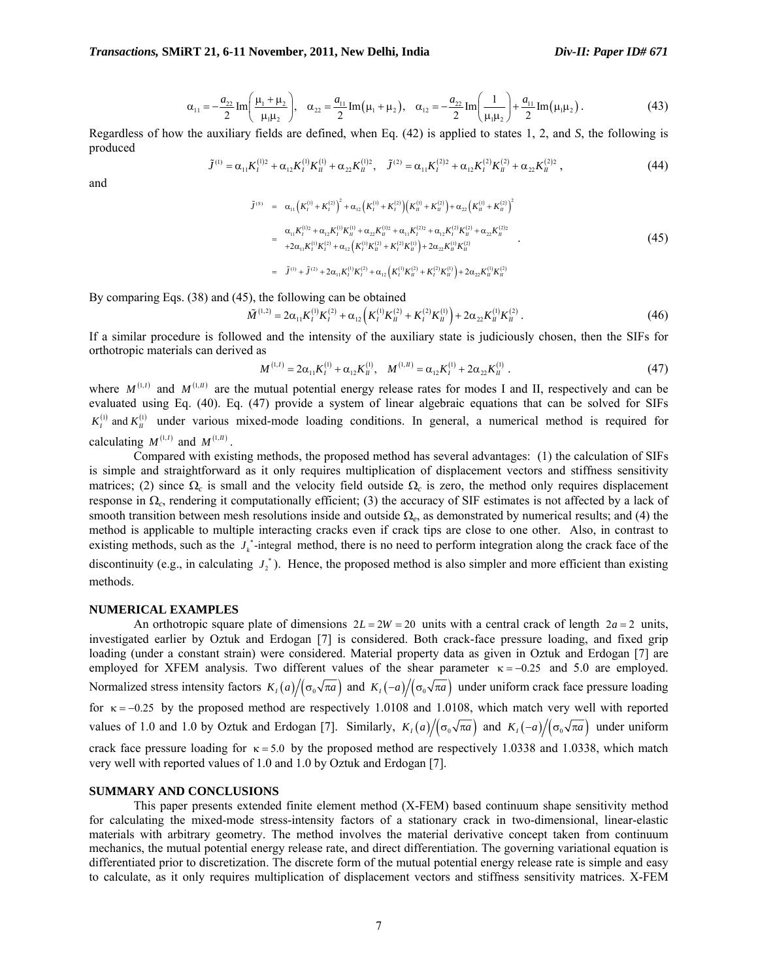#### *Transactions,* **SMiRT 21, 6-11 November, 2011, New Delhi, India** *Div-II: Paper ID# 671*

$$
\alpha_{11} = -\frac{a_{22}}{2} \operatorname{Im} \left( \frac{\mu_1 + \mu_2}{\mu_1 \mu_2} \right), \quad \alpha_{22} = \frac{a_{11}}{2} \operatorname{Im} (\mu_1 + \mu_2), \quad \alpha_{12} = -\frac{a_{22}}{2} \operatorname{Im} \left( \frac{1}{\mu_1 \mu_2} \right) + \frac{a_{11}}{2} \operatorname{Im} (\mu_1 \mu_2).
$$
 (43)

Regardless of how the auxiliary fields are defined, when Eq. (42) is applied to states 1, 2, and *S*, the following is produced

$$
\tilde{J}^{(1)} = \alpha_{11} K_I^{(1)2} + \alpha_{12} K_I^{(1)} K_{II}^{(1)} + \alpha_{22} K_{II}^{(1)2}, \quad \tilde{J}^{(2)} = \alpha_{11} K_I^{(2)2} + \alpha_{12} K_I^{(2)} K_{II}^{(2)} + \alpha_{22} K_{II}^{(2)2}, \tag{44}
$$

and

$$
\tilde{J}^{(s)} = \alpha_{11} (K_1^{(1)} + K_1^{(2)})^2 + \alpha_{12} (K_1^{(1)} + K_1^{(2)}) (K_1^{(1)} + K_1^{(2)}) + \alpha_{22} (K_1^{(1)} + K_1^{(2)})^2
$$
\n
$$
= \frac{\alpha_{11} K_1^{(1)2} + \alpha_{12} K_1^{(1)} K_1^{(1)} + \alpha_{22} K_1^{(1)2} + \alpha_{11} K_1^{(2)2} + \alpha_{12} K_1^{(2)} K_1^{(2)} + \alpha_{22} K_1^{(2)2}}{2\alpha_{11} K_1^{(1)} K_1^{(2)} + \alpha_{12} (K_1^{(1)} K_1^{(2)} + K_1^{(2)} K_1^{(1)}) + 2\alpha_{22} K_1^{(1)} K_1^{(2)}}
$$
\n
$$
= \tilde{J}^{(1)} + \tilde{J}^{(2)} + 2\alpha_{11} K_1^{(1)} K_1^{(2)} + \alpha_{12} (K_1^{(1)} K_1^{(2)} + K_1^{(2)} K_1^{(1)}) + 2\alpha_{22} K_1^{(1)} K_1^{(2)}
$$
\n
$$
(45)
$$

By comparing Eqs. (38) and (45), the following can be obtained

$$
\tilde{M}^{(1,2)} = 2\alpha_{11} K_I^{(1)} K_I^{(2)} + \alpha_{12} \left( K_I^{(1)} K_{II}^{(2)} + K_I^{(2)} K_{II}^{(1)} \right) + 2\alpha_{22} K_{II}^{(1)} K_{II}^{(2)}.
$$
\n(46)

If a similar procedure is followed and the intensity of the auxiliary state is judiciously chosen, then the SIFs for orthotropic materials can derived as

$$
M^{(1,I)} = 2\alpha_{11}K_I^{(1)} + \alpha_{12}K_{II}^{(1)}, \quad M^{(1,I)} = \alpha_{12}K_I^{(1)} + 2\alpha_{22}K_{II}^{(1)}\,. \tag{47}
$$

where  $M^{(1, I)}$  and  $M^{(1, II)}$  are the mutual potential energy release rates for modes I and II, respectively and can be evaluated using Eq. (40). Eq. (47) provide a system of linear algebraic equations that can be solved for SIFs  $K_i^{(1)}$  and  $K_M^{(1)}$  under various mixed-mode loading conditions. In general, a numerical method is required for calculating  $M^{(1,I)}$  and  $M^{(1,I)}$ .

 Compared with existing methods, the proposed method has several advantages: (1) the calculation of SIFs is simple and straightforward as it only requires multiplication of displacement vectors and stiffness sensitivity matrices; (2) since Ω*c* is small and the velocity field outside Ω*c* is zero, the method only requires displacement response in Ω*c*, rendering it computationally efficient; (3) the accuracy of SIF estimates is not affected by a lack of smooth transition between mesh resolutions inside and outside Ω*e*, as demonstrated by numerical results; and (4) the method is applicable to multiple interacting cracks even if crack tips are close to one other. Also, in contrast to existing methods, such as the  $J_k^*$ -integral method, there is no need to perform integration along the crack face of the discontinuity (e.g., in calculating  $J_2^*$ ). Hence, the proposed method is also simpler and more efficient than existing methods.

#### **NUMERICAL EXAMPLES**

An orthotropic square plate of dimensions  $2L = 2W = 20$  units with a central crack of length  $2a = 2$  units, investigated earlier by Oztuk and Erdogan [7] is considered. Both crack-face pressure loading, and fixed grip loading (under a constant strain) were considered. Material property data as given in Oztuk and Erdogan [7] are employed for XFEM analysis. Two different values of the shear parameter  $\kappa = -0.25$  and 5.0 are employed. Normalized stress intensity factors  $K_I(a)/(\sigma_0\sqrt{\pi a})$  and  $K_I(-a)/(\sigma_0\sqrt{\pi a})$  under uniform crack face pressure loading for  $\kappa =$ −0.25 by the proposed method are respectively 1.0108 and 1.0108, which match very well with reported values of 1.0 and 1.0 by Oztuk and Erdogan [7]. Similarly,  $K_I(a)/(\sigma_0\sqrt{\pi a})$  and  $K_I(-a)/(\sigma_0\sqrt{\pi a})$  under uniform crack face pressure loading for  $\kappa = 5.0$  by the proposed method are respectively 1.0338 and 1.0338, which match very well with reported values of 1.0 and 1.0 by Oztuk and Erdogan [7].

## **SUMMARY AND CONCLUSIONS**

 This paper presents extended finite element method (X-FEM) based continuum shape sensitivity method for calculating the mixed-mode stress-intensity factors of a stationary crack in two-dimensional, linear-elastic materials with arbitrary geometry. The method involves the material derivative concept taken from continuum mechanics, the mutual potential energy release rate, and direct differentiation. The governing variational equation is differentiated prior to discretization. The discrete form of the mutual potential energy release rate is simple and easy to calculate, as it only requires multiplication of displacement vectors and stiffness sensitivity matrices. X-FEM